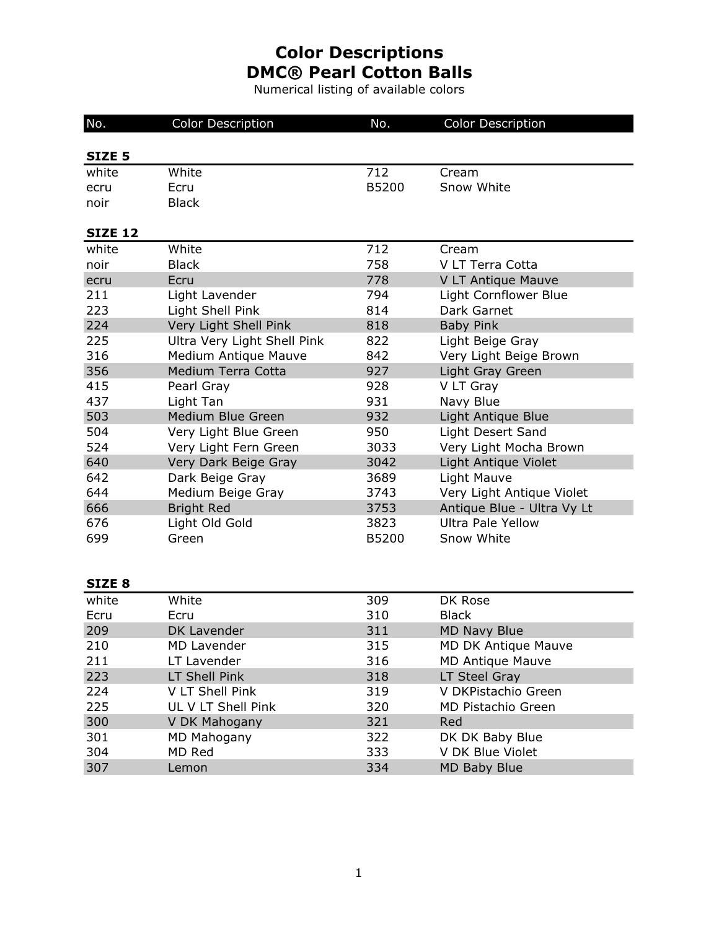Numerical listing of available colors

| No.               | <b>Color Description</b>    | No.          | <b>Color Description</b>   |
|-------------------|-----------------------------|--------------|----------------------------|
|                   |                             |              |                            |
| SIZE <sub>5</sub> |                             |              |                            |
| white             | White                       | 712          | Cream                      |
| ecru              | Ecru                        | <b>B5200</b> | Snow White                 |
| noir              | <b>Black</b>                |              |                            |
| <b>SIZE 12</b>    |                             |              |                            |
| white             | White                       | 712          | Cream                      |
| noir              | <b>Black</b>                | 758          | V LT Terra Cotta           |
| ecru              | Ecru                        | 778          | V LT Antique Mauve         |
| 211               | Light Lavender              | 794          | Light Cornflower Blue      |
| 223               | Light Shell Pink            | 814          | Dark Garnet                |
| 224               | Very Light Shell Pink       | 818          | <b>Baby Pink</b>           |
| 225               | Ultra Very Light Shell Pink | 822          | Light Beige Gray           |
| 316               | Medium Antique Mauve        | 842          | Very Light Beige Brown     |
| 356               | Medium Terra Cotta          | 927          | Light Gray Green           |
| 415               | Pearl Gray                  | 928          | V LT Gray                  |
| 437               | Light Tan                   | 931          | Navy Blue                  |
| 503               | Medium Blue Green           | 932          | Light Antique Blue         |
| 504               | Very Light Blue Green       | 950          | Light Desert Sand          |
| 524               | Very Light Fern Green       | 3033         | Very Light Mocha Brown     |
| 640               | Very Dark Beige Gray        | 3042         | Light Antique Violet       |
| 642               | Dark Beige Gray             | 3689         | Light Mauve                |
| 644               | Medium Beige Gray           | 3743         | Very Light Antique Violet  |
| 666               | <b>Bright Red</b>           | 3753         | Antique Blue - Ultra Vy Lt |
| 676               | Light Old Gold              | 3823         | <b>Ultra Pale Yellow</b>   |
| 699               | Green                       | B5200        | Snow White                 |
|                   |                             |              |                            |
|                   |                             |              |                            |
| SIZE <sub>8</sub> |                             |              |                            |

| white | White              | 309 | DK Rose                 |
|-------|--------------------|-----|-------------------------|
| Ecru  | Ecru               | 310 | <b>Black</b>            |
| 209   | DK Lavender        | 311 | <b>MD Navy Blue</b>     |
| 210   | MD Lavender        | 315 | MD DK Antique Mauve     |
| 211   | LT Lavender        | 316 | <b>MD Antique Mauve</b> |
| 223   | LT Shell Pink      | 318 | LT Steel Gray           |
| 224   | V LT Shell Pink    | 319 | V DKPistachio Green     |
| 225   | UL V LT Shell Pink | 320 | MD Pistachio Green      |
| 300   | V DK Mahogany      | 321 | Red                     |
| 301   | MD Mahogany        | 322 | DK DK Baby Blue         |
| 304   | MD Red             | 333 | V DK Blue Violet        |
| 307   | Lemon              | 334 | MD Baby Blue            |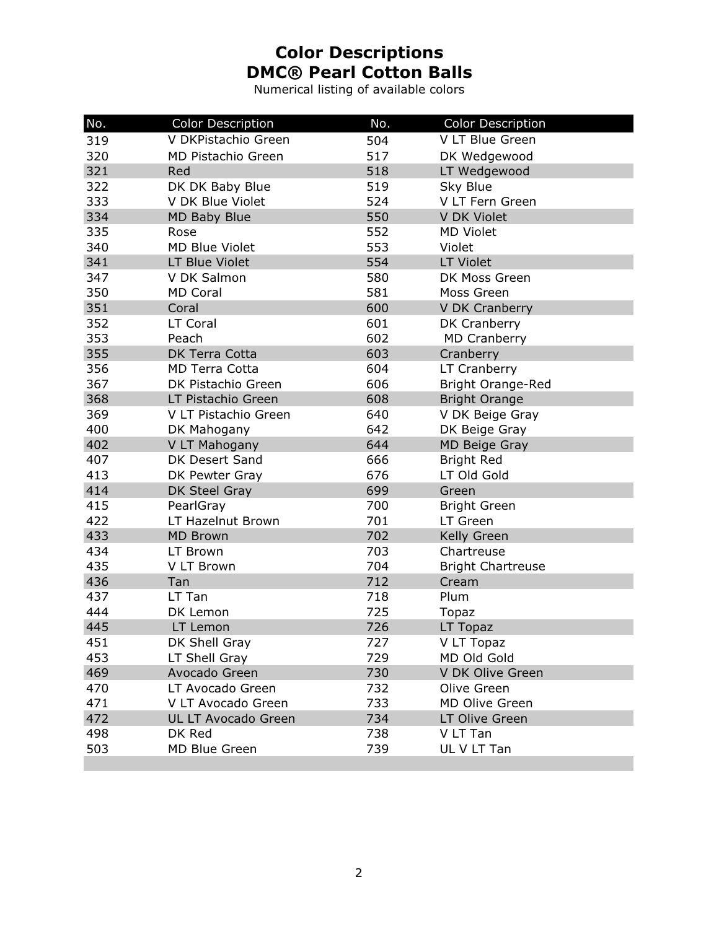Numerical listing of available colors

| No. | <b>Color Description</b>   | No. | <b>Color Description</b> |
|-----|----------------------------|-----|--------------------------|
| 319 | V DKPistachio Green        | 504 | V LT Blue Green          |
| 320 | <b>MD Pistachio Green</b>  | 517 | DK Wedgewood             |
| 321 | Red                        | 518 | LT Wedgewood             |
| 322 | DK DK Baby Blue            | 519 | Sky Blue                 |
| 333 | V DK Blue Violet           | 524 | V LT Fern Green          |
| 334 | <b>MD Baby Blue</b>        | 550 | V DK Violet              |
| 335 | Rose                       | 552 | <b>MD Violet</b>         |
| 340 | <b>MD Blue Violet</b>      | 553 | Violet                   |
| 341 | LT Blue Violet             | 554 | <b>LT Violet</b>         |
| 347 | V DK Salmon                | 580 | DK Moss Green            |
| 350 | <b>MD Coral</b>            | 581 | Moss Green               |
| 351 | Coral                      | 600 | V DK Cranberry           |
| 352 | LT Coral                   | 601 | DK Cranberry             |
| 353 | Peach                      | 602 | <b>MD Cranberry</b>      |
| 355 | DK Terra Cotta             | 603 | Cranberry                |
| 356 | <b>MD Terra Cotta</b>      | 604 | LT Cranberry             |
| 367 | DK Pistachio Green         | 606 | Bright Orange-Red        |
| 368 | LT Pistachio Green         | 608 | <b>Bright Orange</b>     |
| 369 | V LT Pistachio Green       | 640 | V DK Beige Gray          |
| 400 | DK Mahogany                | 642 | DK Beige Gray            |
| 402 | V LT Mahogany              | 644 | MD Beige Gray            |
| 407 | DK Desert Sand             | 666 | <b>Bright Red</b>        |
| 413 | DK Pewter Gray             | 676 | LT Old Gold              |
| 414 | DK Steel Gray              | 699 | Green                    |
| 415 | PearlGray                  | 700 | <b>Bright Green</b>      |
| 422 | LT Hazelnut Brown          | 701 | LT Green                 |
| 433 | <b>MD Brown</b>            | 702 | Kelly Green              |
| 434 | LT Brown                   | 703 | Chartreuse               |
| 435 | V LT Brown                 | 704 | <b>Bright Chartreuse</b> |
| 436 | Tan                        | 712 | Cream                    |
| 437 | LT Tan                     | 718 | Plum                     |
| 444 | DK Lemon                   | 725 | <b>Topaz</b>             |
| 445 | LT Lemon                   | 726 | LT Topaz                 |
| 451 | DK Shell Gray              | 727 | V LT Topaz               |
| 453 | LT Shell Gray              | 729 | MD Old Gold              |
| 469 | Avocado Green              | 730 | V DK Olive Green         |
| 470 | LT Avocado Green           | 732 | Olive Green              |
| 471 | V LT Avocado Green         | 733 | <b>MD Olive Green</b>    |
| 472 | <b>UL LT Avocado Green</b> | 734 | LT Olive Green           |
| 498 | DK Red                     | 738 | V LT Tan                 |
| 503 | MD Blue Green              | 739 | UL V LT Tan              |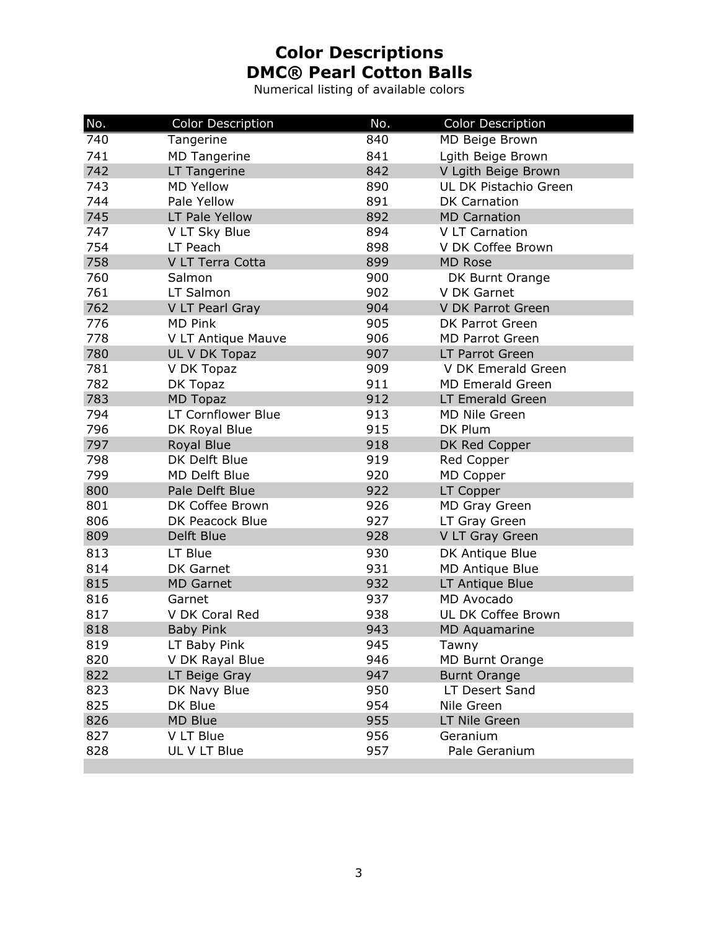Numerical listing of available colors

| No. | <b>Color Description</b> | No. | <b>Color Description</b> |
|-----|--------------------------|-----|--------------------------|
| 740 | Tangerine                | 840 | MD Beige Brown           |
| 741 | <b>MD Tangerine</b>      | 841 | Lgith Beige Brown        |
| 742 | LT Tangerine             | 842 | V Lgith Beige Brown      |
| 743 | <b>MD Yellow</b>         | 890 | UL DK Pistachio Green    |
| 744 | Pale Yellow              | 891 | <b>DK Carnation</b>      |
| 745 | LT Pale Yellow           | 892 | <b>MD Carnation</b>      |
| 747 | V LT Sky Blue            | 894 | V LT Carnation           |
| 754 | LT Peach                 | 898 | V DK Coffee Brown        |
| 758 | V LT Terra Cotta         | 899 | <b>MD Rose</b>           |
| 760 | Salmon                   | 900 | DK Burnt Orange          |
| 761 | LT Salmon                | 902 | V DK Garnet              |
| 762 | V LT Pearl Gray          | 904 | V DK Parrot Green        |
| 776 | <b>MD Pink</b>           | 905 | DK Parrot Green          |
| 778 | V LT Antique Mauve       | 906 | <b>MD Parrot Green</b>   |
| 780 | UL V DK Topaz            | 907 | LT Parrot Green          |
| 781 | V DK Topaz               | 909 | V DK Emerald Green       |
| 782 | DK Topaz                 | 911 | <b>MD Emerald Green</b>  |
| 783 | <b>MD Topaz</b>          | 912 | LT Emerald Green         |
| 794 | LT Cornflower Blue       | 913 | MD Nile Green            |
| 796 | DK Royal Blue            | 915 | DK Plum                  |
| 797 | Royal Blue               | 918 | DK Red Copper            |
| 798 | DK Delft Blue            | 919 | Red Copper               |
| 799 | <b>MD Delft Blue</b>     | 920 | MD Copper                |
| 800 | Pale Delft Blue          | 922 | LT Copper                |
| 801 | DK Coffee Brown          | 926 | <b>MD Gray Green</b>     |
| 806 | DK Peacock Blue          | 927 | LT Gray Green            |
| 809 | Delft Blue               | 928 | V LT Gray Green          |
| 813 | LT Blue                  | 930 | DK Antique Blue          |
| 814 | DK Garnet                | 931 | MD Antique Blue          |
| 815 | <b>MD Garnet</b>         | 932 | LT Antique Blue          |
| 816 | Garnet                   | 937 | MD Avocado               |
| 817 | V DK Coral Red           | 938 | UL DK Coffee Brown       |
| 818 | <b>Baby Pink</b>         | 943 | <b>MD Aquamarine</b>     |
| 819 | LT Baby Pink             | 945 | Tawny                    |
| 820 | V DK Rayal Blue          | 946 | MD Burnt Orange          |
| 822 | LT Beige Gray            | 947 | <b>Burnt Orange</b>      |
| 823 | DK Navy Blue             | 950 | LT Desert Sand           |
| 825 | DK Blue                  | 954 | Nile Green               |
| 826 | MD Blue                  | 955 | LT Nile Green            |
| 827 | V LT Blue                | 956 | Geranium                 |
| 828 | UL V LT Blue             | 957 | Pale Geranium            |